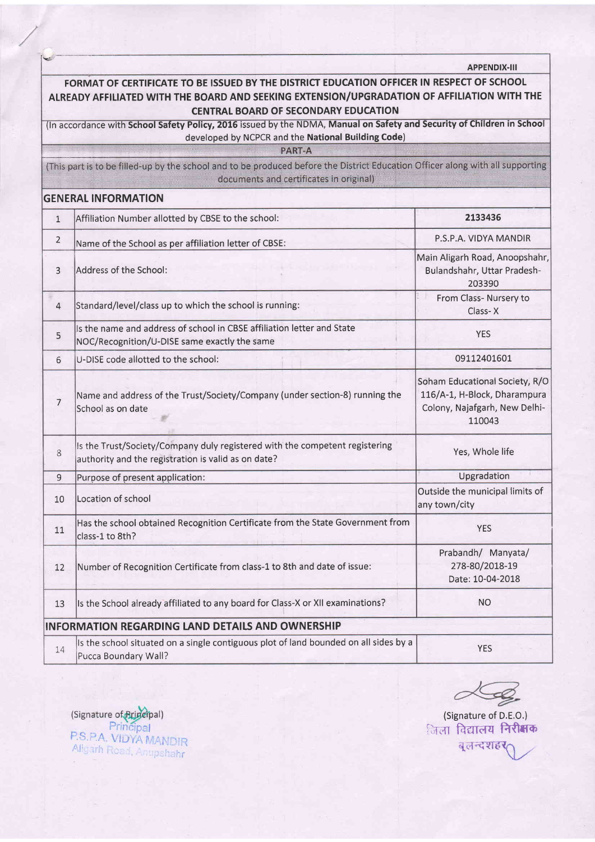|                |                                                                                                                                                                                                                                         | <b>APPENDIX-III</b>                                                                                       |
|----------------|-----------------------------------------------------------------------------------------------------------------------------------------------------------------------------------------------------------------------------------------|-----------------------------------------------------------------------------------------------------------|
|                | FORMAT OF CERTIFICATE TO BE ISSUED BY THE DISTRICT EDUCATION OFFICER IN RESPECT OF SCHOOL<br>ALREADY AFFILIATED WITH THE BOARD AND SEEKING EXTENSION/UPGRADATION OF AFFILIATION WITH THE<br><b>CENTRAL BOARD OF SECONDARY EDUCATION</b> |                                                                                                           |
|                | (In accordance with School Safety Policy, 2016 issued by the NDMA, Manual on Safety and Security of Children in School                                                                                                                  |                                                                                                           |
|                | developed by NCPCR and the National Building Code)                                                                                                                                                                                      |                                                                                                           |
|                | PART-A<br>(This part is to be filled-up by the school and to be produced before the District Education Officer along with all supporting<br>documents and certificates in original)                                                     |                                                                                                           |
|                | <b>GENERAL INFORMATION</b>                                                                                                                                                                                                              |                                                                                                           |
| $\mathbf{1}$   | Affiliation Number allotted by CBSE to the school:                                                                                                                                                                                      | 2133436                                                                                                   |
| $\overline{2}$ | Name of the School as per affiliation letter of CBSE:                                                                                                                                                                                   | P.S.P.A. VIDYA MANDIR                                                                                     |
| 3              | Address of the School:                                                                                                                                                                                                                  | Main Aligarh Road, Anoopshahr,<br>Bulandshahr, Uttar Pradesh-<br>203390                                   |
| 4              | Standard/level/class up to which the school is running:                                                                                                                                                                                 | From Class- Nursery to<br>Class-X                                                                         |
| 5              | Is the name and address of school in CBSE affiliation letter and State<br>NOC/Recognition/U-DISE same exactly the same                                                                                                                  | <b>YES</b>                                                                                                |
| 6              | U-DISE code allotted to the school:                                                                                                                                                                                                     | 09112401601                                                                                               |
| 7              | Name and address of the Trust/Society/Company (under section-8) running the<br>School as on date                                                                                                                                        | Soham Educational Society, R/O<br>116/A-1, H-Block, Dharampura<br>Colony, Najafgarh, New Delhi-<br>110043 |
| 8              | Is the Trust/Society/Company duly registered with the competent registering<br>authority and the registration is valid as on date?                                                                                                      | Yes, Whole life                                                                                           |
| $\overline{9}$ | Purpose of present application:                                                                                                                                                                                                         | Upgradation                                                                                               |
| 10             | Location of school                                                                                                                                                                                                                      | Outside the municipal limits of<br>any town/city                                                          |
| 11             | Has the school obtained Recognition Certificate from the State Government from<br>class-1 to 8th?                                                                                                                                       | <b>YES</b>                                                                                                |
| 12             | Number of Recognition Certificate from class-1 to 8th and date of issue:                                                                                                                                                                | Prabandh/ Manyata/<br>278-80/2018-19<br>Date: 10-04-2018                                                  |
| 13             | Is the School already affiliated to any board for Class-X or XII examinations?                                                                                                                                                          | <b>NO</b>                                                                                                 |
|                | <b>INFORMATION REGARDING LAND DETAILS AND OWNERSHIP</b>                                                                                                                                                                                 |                                                                                                           |
| 14             | Is the school situated on a single contiguous plot of land bounded on all sides by a<br>Pucca Boundary Wall?                                                                                                                            | <b>YES</b>                                                                                                |

 $\alpha$ 

(Signature of D.E.O.) जिला विद्यालय **निरीक्षक** 

Signature of **Ariscipal**<br>Principal<br>P.S.P.A. VIDYA MANDIR<br>Aligarh Road, Anupshahr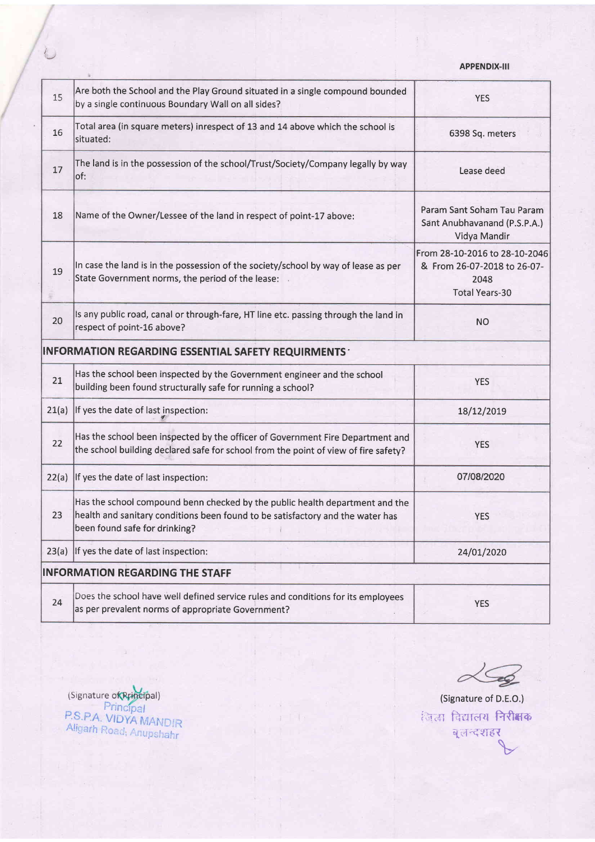## APPENDIX.III

| 15    | Are both the School and the Play Ground situated in a single compound bounded<br>by a single continuous Boundary Wall on all sides?                                                             | <b>YES</b>                                                                                    |
|-------|-------------------------------------------------------------------------------------------------------------------------------------------------------------------------------------------------|-----------------------------------------------------------------------------------------------|
| 16    | Total area (in square meters) inrespect of 13 and 14 above which the school is<br>situated:                                                                                                     | 6398 Sq. meters                                                                               |
| 17    | The land is in the possession of the school/Trust/Society/Company legally by way<br>of:                                                                                                         | Lease deed                                                                                    |
| 18    | Name of the Owner/Lessee of the land in respect of point-17 above:                                                                                                                              | Param Sant Soham Tau Param<br>Sant Anubhavanand (P.S.P.A.)<br>Vidya Mandir                    |
| 19    | In case the land is in the possession of the society/school by way of lease as per<br>State Government norms, the period of the lease:                                                          | From 28-10-2016 to 28-10-2046<br>& From 26-07-2018 to 26-07-<br>2048<br><b>Total Years-30</b> |
| 20    | Is any public road, canal or through-fare, HT line etc. passing through the land in<br>respect of point-16 above?                                                                               | <b>NO</b>                                                                                     |
|       | <b>INFORMATION REGARDING ESSENTIAL SAFETY REQUIRMENTS ·</b>                                                                                                                                     |                                                                                               |
| 21    | Has the school been inspected by the Government engineer and the school<br>building been found structurally safe for running a school?                                                          | <b>YES</b>                                                                                    |
| 21(a) | If yes the date of last inspection:                                                                                                                                                             | 18/12/2019                                                                                    |
| 22    | Has the school been inspected by the officer of Government Fire Department and<br>the school building declared safe for school from the point of view of fire safety?                           | <b>YES</b>                                                                                    |
| 22(a) | If yes the date of last inspection:                                                                                                                                                             | 07/08/2020                                                                                    |
| 23    | Has the school compound benn checked by the public health department and the<br>health and sanitary conditions been found to be satisfactory and the water has<br>been found safe for drinking? | <b>YES</b>                                                                                    |
| 23(a) | If yes the date of last inspection:                                                                                                                                                             | 24/01/2020                                                                                    |
|       | <b>INFORMATION REGARDING THE STAFF</b>                                                                                                                                                          |                                                                                               |
| 24    | Does the school have well defined service rules and conditions for its employees<br>as per prevalent norms of appropriate Government?                                                           | <b>YES</b>                                                                                    |
|       |                                                                                                                                                                                                 |                                                                                               |

 $26$ 

(Signature of D.E.O.) ितला विद्यालय निरीक्षक ्बलन्दशहर

Signature of **Ruidelpal**<br>Principal<br>P.S.P.A. VIDYA MANDIR<br>Aligarh Road, Anupshahr

 $\sim 30\%$ 

 $\mathbf{i}$